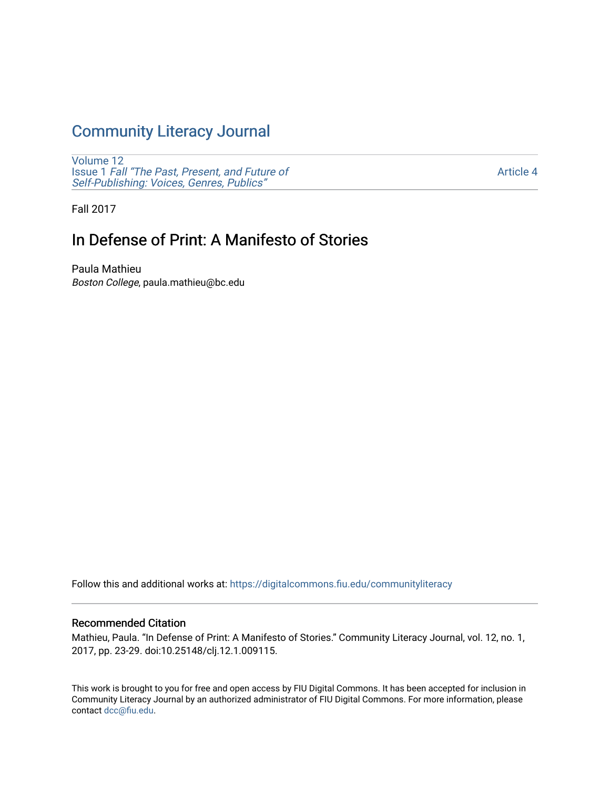# [Community Literacy Journal](https://digitalcommons.fiu.edu/communityliteracy)

[Volume 12](https://digitalcommons.fiu.edu/communityliteracy/vol12) Issue 1 [Fall "The Past, Present, and Future of](https://digitalcommons.fiu.edu/communityliteracy/vol12/iss1) [Self-Publishing: Voices, Genres, Publics"](https://digitalcommons.fiu.edu/communityliteracy/vol12/iss1) 

[Article 4](https://digitalcommons.fiu.edu/communityliteracy/vol12/iss1/4) 

Fall 2017

# In Defense of Print: A Manifesto of Stories

Paula Mathieu Boston College, paula.mathieu@bc.edu

Follow this and additional works at: [https://digitalcommons.fiu.edu/communityliteracy](https://digitalcommons.fiu.edu/communityliteracy?utm_source=digitalcommons.fiu.edu%2Fcommunityliteracy%2Fvol12%2Fiss1%2F4&utm_medium=PDF&utm_campaign=PDFCoverPages)

#### Recommended Citation

Mathieu, Paula. "In Defense of Print: A Manifesto of Stories." Community Literacy Journal, vol. 12, no. 1, 2017, pp. 23-29. doi:10.25148/clj.12.1.009115.

This work is brought to you for free and open access by FIU Digital Commons. It has been accepted for inclusion in Community Literacy Journal by an authorized administrator of FIU Digital Commons. For more information, please contact [dcc@fiu.edu](mailto:dcc@fiu.edu).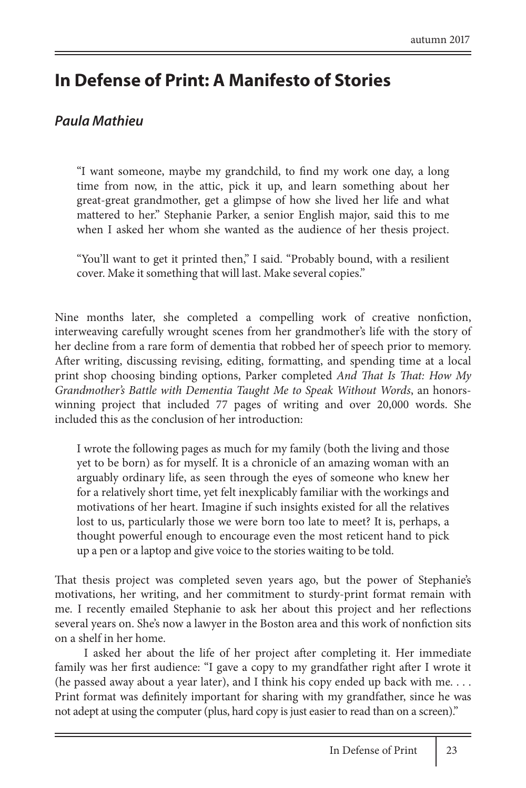# **In Defense of Print: A Manifesto of Stories**

# *Paula Mathieu*

"I want someone, maybe my grandchild, to find my work one day, a long time from now, in the attic, pick it up, and learn something about her great-great grandmother, get a glimpse of how she lived her life and what mattered to her." Stephanie Parker, a senior English major, said this to me when I asked her whom she wanted as the audience of her thesis project.

"You'll want to get it printed then," I said. "Probably bound, with a resilient cover. Make it something that will last. Make several copies."

Nine months later, she completed a compelling work of creative nonfiction, interweaving carefully wrought scenes from her grandmother's life with the story of her decline from a rare form of dementia that robbed her of speech prior to memory. After writing, discussing revising, editing, formatting, and spending time at a local print shop choosing binding options, Parker completed *And That Is That: How My Grandmother's Battle with Dementia Taught Me to Speak Without Words*, an honorswinning project that included 77 pages of writing and over 20,000 words. She included this as the conclusion of her introduction:

I wrote the following pages as much for my family (both the living and those yet to be born) as for myself. It is a chronicle of an amazing woman with an arguably ordinary life, as seen through the eyes of someone who knew her for a relatively short time, yet felt inexplicably familiar with the workings and motivations of her heart. Imagine if such insights existed for all the relatives lost to us, particularly those we were born too late to meet? It is, perhaps, a thought powerful enough to encourage even the most reticent hand to pick up a pen or a laptop and give voice to the stories waiting to be told.

That thesis project was completed seven years ago, but the power of Stephanie's motivations, her writing, and her commitment to sturdy-print format remain with me. I recently emailed Stephanie to ask her about this project and her reflections several years on. She's now a lawyer in the Boston area and this work of nonfiction sits on a shelf in her home.

I asked her about the life of her project after completing it. Her immediate family was her first audience: "I gave a copy to my grandfather right after I wrote it (he passed away about a year later), and I think his copy ended up back with me. . . . Print format was definitely important for sharing with my grandfather, since he was not adept at using the computer (plus, hard copy is just easier to read than on a screen)."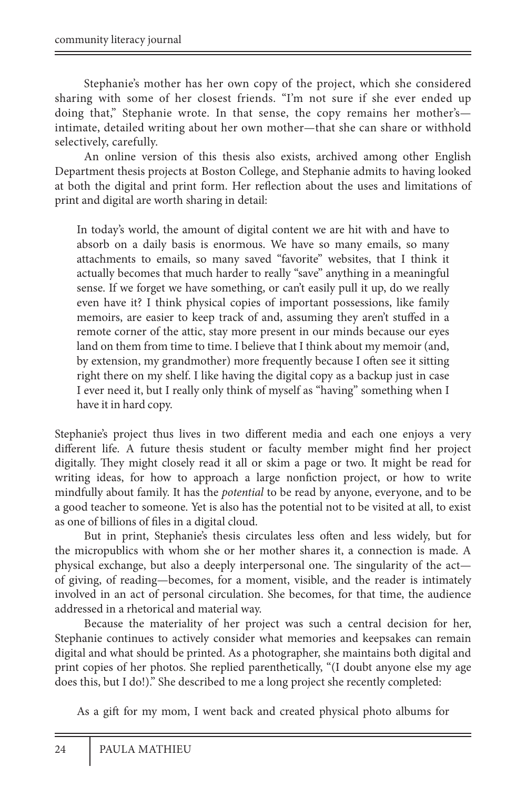Stephanie's mother has her own copy of the project, which she considered sharing with some of her closest friends. "I'm not sure if she ever ended up doing that," Stephanie wrote. In that sense, the copy remains her mother's intimate, detailed writing about her own mother—that she can share or withhold selectively, carefully.

An online version of this thesis also exists, archived among other English Department thesis projects at Boston College, and Stephanie admits to having looked at both the digital and print form. Her reflection about the uses and limitations of print and digital are worth sharing in detail:

In today's world, the amount of digital content we are hit with and have to absorb on a daily basis is enormous. We have so many emails, so many attachments to emails, so many saved "favorite" websites, that I think it actually becomes that much harder to really "save" anything in a meaningful sense. If we forget we have something, or can't easily pull it up, do we really even have it? I think physical copies of important possessions, like family memoirs, are easier to keep track of and, assuming they aren't stuffed in a remote corner of the attic, stay more present in our minds because our eyes land on them from time to time. I believe that I think about my memoir (and, by extension, my grandmother) more frequently because I often see it sitting right there on my shelf. I like having the digital copy as a backup just in case I ever need it, but I really only think of myself as "having" something when I have it in hard copy.

Stephanie's project thus lives in two different media and each one enjoys a very different life. A future thesis student or faculty member might find her project digitally. They might closely read it all or skim a page or two. It might be read for writing ideas, for how to approach a large nonfiction project, or how to write mindfully about family. It has the *potential* to be read by anyone, everyone, and to be a good teacher to someone. Yet is also has the potential not to be visited at all, to exist as one of billions of files in a digital cloud.

But in print, Stephanie's thesis circulates less often and less widely, but for the micropublics with whom she or her mother shares it, a connection is made. A physical exchange, but also a deeply interpersonal one. The singularity of the act of giving, of reading—becomes, for a moment, visible, and the reader is intimately involved in an act of personal circulation. She becomes, for that time, the audience addressed in a rhetorical and material way.

Because the materiality of her project was such a central decision for her, Stephanie continues to actively consider what memories and keepsakes can remain digital and what should be printed. As a photographer, she maintains both digital and print copies of her photos. She replied parenthetically, "(I doubt anyone else my age does this, but I do!)." She described to me a long project she recently completed:

As a gift for my mom, I went back and created physical photo albums for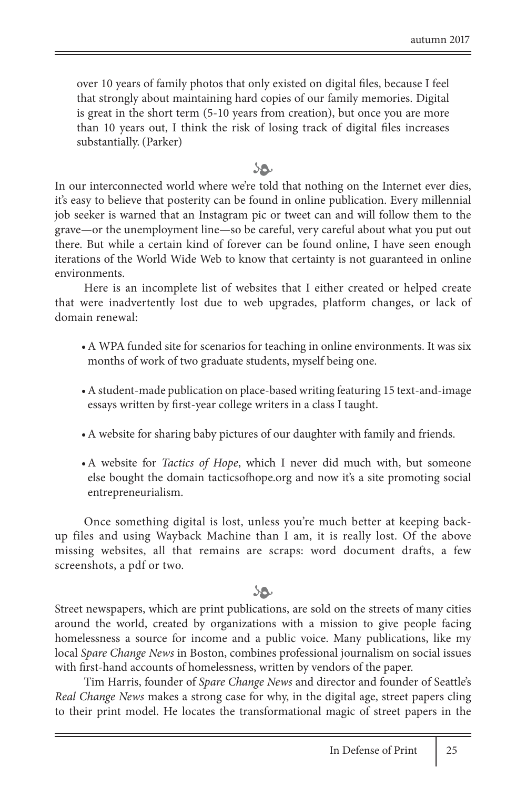over 10 years of family photos that only existed on digital files, because I feel that strongly about maintaining hard copies of our family memories. Digital is great in the short term (5-10 years from creation), but once you are more than 10 years out, I think the risk of losing track of digital files increases substantially. (Parker)

# $58.$

In our interconnected world where we're told that nothing on the Internet ever dies, it's easy to believe that posterity can be found in online publication. Every millennial job seeker is warned that an Instagram pic or tweet can and will follow them to the grave—or the unemployment line—so be careful, very careful about what you put out there. But while a certain kind of forever can be found online, I have seen enough iterations of the World Wide Web to know that certainty is not guaranteed in online environments.

Here is an incomplete list of websites that I either created or helped create that were inadvertently lost due to web upgrades, platform changes, or lack of domain renewal:

- •A WPA funded site for scenarios for teaching in online environments. It was six months of work of two graduate students, myself being one.
- •A student-made publication on place-based writing featuring 15 text-and-image essays written by first-year college writers in a class I taught.
- •A website for sharing baby pictures of our daughter with family and friends.
- •A website for *Tactics of Hope*, which I never did much with, but someone else bought the domain tacticsofhope.org and now it's a site promoting social entrepreneurialism.

Once something digital is lost, unless you're much better at keeping backup files and using Wayback Machine than I am, it is really lost. Of the above missing websites, all that remains are scraps: word document drafts, a few screenshots, a pdf or two.

# $58.$

Street newspapers, which are print publications, are sold on the streets of many cities around the world, created by organizations with a mission to give people facing homelessness a source for income and a public voice. Many publications, like my local *Spare Change News* in Boston, combines professional journalism on social issues with first-hand accounts of homelessness, written by vendors of the paper.

Tim Harris, founder of *Spare Change News* and director and founder of Seattle's *Real Change News* makes a strong case for why, in the digital age, street papers cling to their print model. He locates the transformational magic of street papers in the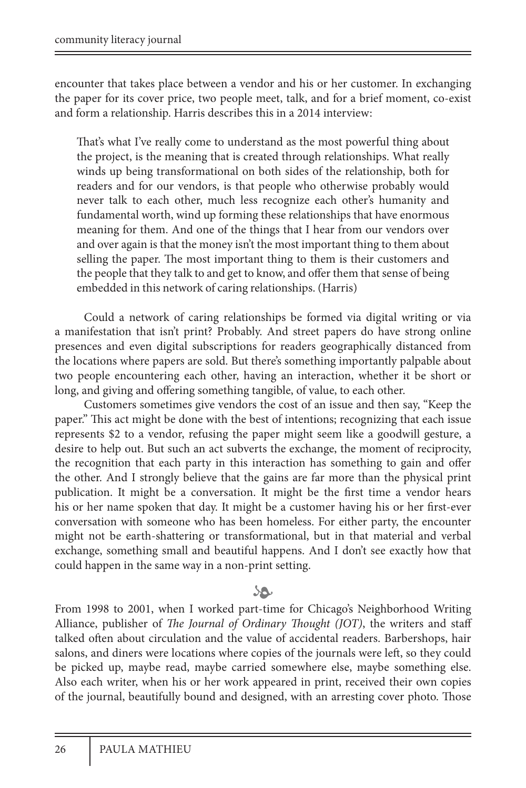encounter that takes place between a vendor and his or her customer. In exchanging the paper for its cover price, two people meet, talk, and for a brief moment, co-exist and form a relationship. Harris describes this in a 2014 interview:

That's what I've really come to understand as the most powerful thing about the project, is the meaning that is created through relationships. What really winds up being transformational on both sides of the relationship, both for readers and for our vendors, is that people who otherwise probably would never talk to each other, much less recognize each other's humanity and fundamental worth, wind up forming these relationships that have enormous meaning for them. And one of the things that I hear from our vendors over and over again is that the money isn't the most important thing to them about selling the paper. The most important thing to them is their customers and the people that they talk to and get to know, and offer them that sense of being embedded in this network of caring relationships. (Harris)

Could a network of caring relationships be formed via digital writing or via a manifestation that isn't print? Probably. And street papers do have strong online presences and even digital subscriptions for readers geographically distanced from the locations where papers are sold. But there's something importantly palpable about two people encountering each other, having an interaction, whether it be short or long, and giving and offering something tangible, of value, to each other.

Customers sometimes give vendors the cost of an issue and then say, "Keep the paper." This act might be done with the best of intentions; recognizing that each issue represents \$2 to a vendor, refusing the paper might seem like a goodwill gesture, a desire to help out. But such an act subverts the exchange, the moment of reciprocity, the recognition that each party in this interaction has something to gain and offer the other. And I strongly believe that the gains are far more than the physical print publication. It might be a conversation. It might be the first time a vendor hears his or her name spoken that day. It might be a customer having his or her first-ever conversation with someone who has been homeless. For either party, the encounter might not be earth-shattering or transformational, but in that material and verbal exchange, something small and beautiful happens. And I don't see exactly how that could happen in the same way in a non-print setting.

# $58.$

From 1998 to 2001, when I worked part-time for Chicago's Neighborhood Writing Alliance, publisher of *The Journal of Ordinary Thought (JOT)*, the writers and staff talked often about circulation and the value of accidental readers. Barbershops, hair salons, and diners were locations where copies of the journals were left, so they could be picked up, maybe read, maybe carried somewhere else, maybe something else. Also each writer, when his or her work appeared in print, received their own copies of the journal, beautifully bound and designed, with an arresting cover photo. Those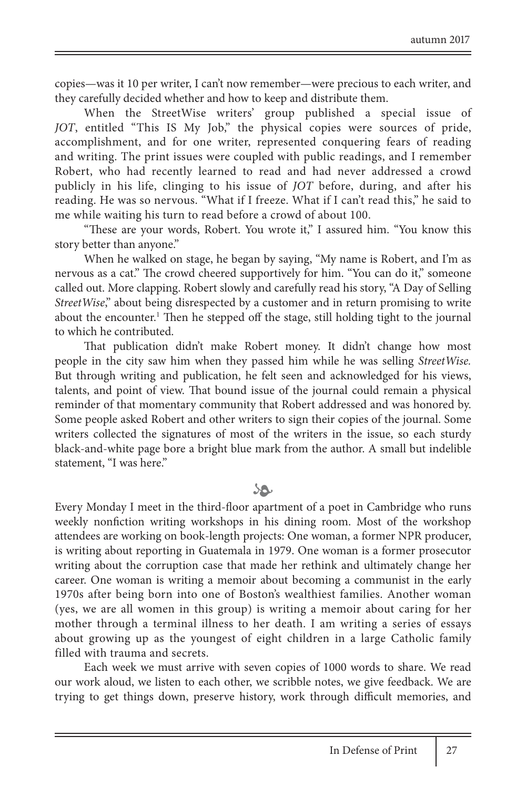copies—was it 10 per writer, I can't now remember—were precious to each writer, and they carefully decided whether and how to keep and distribute them.

When the StreetWise writers' group published a special issue of *JOT*, entitled "This IS My Job," the physical copies were sources of pride, accomplishment, and for one writer, represented conquering fears of reading and writing. The print issues were coupled with public readings, and I remember Robert, who had recently learned to read and had never addressed a crowd publicly in his life, clinging to his issue of *JOT* before, during, and after his reading. He was so nervous. "What if I freeze. What if I can't read this," he said to me while waiting his turn to read before a crowd of about 100.

"These are your words, Robert. You wrote it," I assured him. "You know this story better than anyone."

When he walked on stage, he began by saying, "My name is Robert, and I'm as nervous as a cat." The crowd cheered supportively for him. "You can do it," someone called out. More clapping. Robert slowly and carefully read his story, "A Day of Selling *StreetWise*," about being disrespected by a customer and in return promising to write about the encounter.<sup>1</sup> Then he stepped off the stage, still holding tight to the journal to which he contributed.

That publication didn't make Robert money. It didn't change how most people in the city saw him when they passed him while he was selling *StreetWise.* But through writing and publication, he felt seen and acknowledged for his views, talents, and point of view. That bound issue of the journal could remain a physical reminder of that momentary community that Robert addressed and was honored by. Some people asked Robert and other writers to sign their copies of the journal. Some writers collected the signatures of most of the writers in the issue, so each sturdy black-and-white page bore a bright blue mark from the author. A small but indelible statement, "I was here."

# $\mathcal{P}$

Every Monday I meet in the third-floor apartment of a poet in Cambridge who runs weekly nonfiction writing workshops in his dining room. Most of the workshop attendees are working on book-length projects: One woman, a former NPR producer, is writing about reporting in Guatemala in 1979. One woman is a former prosecutor writing about the corruption case that made her rethink and ultimately change her career. One woman is writing a memoir about becoming a communist in the early 1970s after being born into one of Boston's wealthiest families. Another woman (yes, we are all women in this group) is writing a memoir about caring for her mother through a terminal illness to her death. I am writing a series of essays about growing up as the youngest of eight children in a large Catholic family filled with trauma and secrets.

Each week we must arrive with seven copies of 1000 words to share. We read our work aloud, we listen to each other, we scribble notes, we give feedback. We are trying to get things down, preserve history, work through difficult memories, and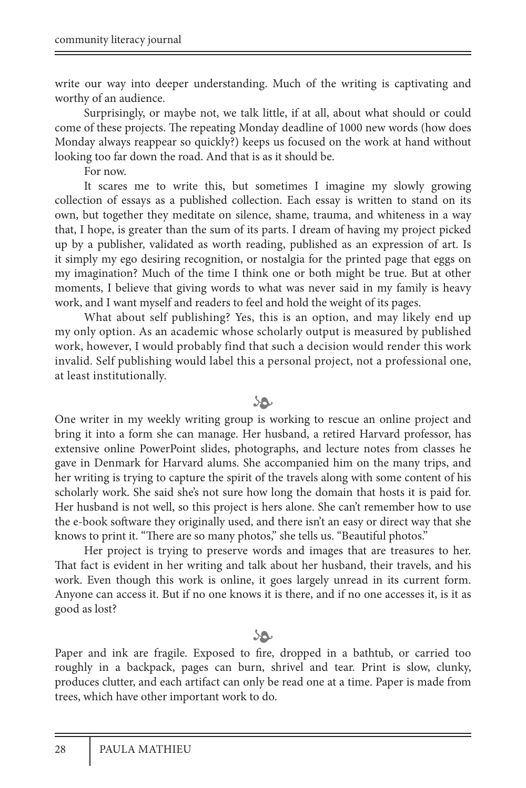write our way into deeper understanding. Much of the writing is captivating and worthy of an audience.

Surprisingly, or maybe not, we talk little, if at all, about what should or could come of these projects. The repeating Monday deadline of 1000 new words (how does Monday always reappear so quickly?) keeps us focused on the work at hand without looking too far down the road. And that is as it should be.

For now.

It scares me to write this, but sometimes I imagine my slowly growing collection of essays as a published collection. Each essay is written to stand on its own, but together they meditate on silence, shame, trauma, and whiteness in a way that, I hope, is greater than the sum of its parts. I dream of having my project picked up by a publisher, validated as worth reading, published as an expression of art. Is it simply my ego desiring recognition, or nostalgia for the printed page that eggs on my imagination? Much of the time I think one or both might be true. But at other moments, I believe that giving words to what was never said in my family is heavy work, and I want myself and readers to feel and hold the weight of its pages.

What about self publishing? Yes, this is an option, and may likely end up my only option. As an academic whose scholarly output is measured by published work, however, I would probably find that such a decision would render this work invalid. Self publishing would label this a personal project, not a professional one, at least institutionally.

#### $58.$

One writer in my weekly writing group is working to rescue an online project and bring it into a form she can manage. Her husband, a retired Harvard professor, has extensive online PowerPoint slides, photographs, and lecture notes from classes he gave in Denmark for Harvard alums. She accompanied him on the many trips, and her writing is trying to capture the spirit of the travels along with some content of his scholarly work. She said she's not sure how long the domain that hosts it is paid for. Her husband is not well, so this project is hers alone. She can't remember how to use the e-book software they originally used, and there isn't an easy or direct way that she knows to print it. "There are so many photos," she tells us. "Beautiful photos."

Her project is trying to preserve words and images that are treasures to her. That fact is evident in her writing and talk about her husband, their travels, and his work. Even though this work is online, it goes largely unread in its current form. Anyone can access it. But if no one knows it is there, and if no one accesses it, is it as good as lost?

# بحلا

Paper and ink are fragile. Exposed to fire, dropped in a bathtub, or carried too roughly in a backpack, pages can burn, shrivel and tear. Print is slow, clunky, produces clutter, and each artifact can only be read one at a time. Paper is made from trees, which have other important work to do.